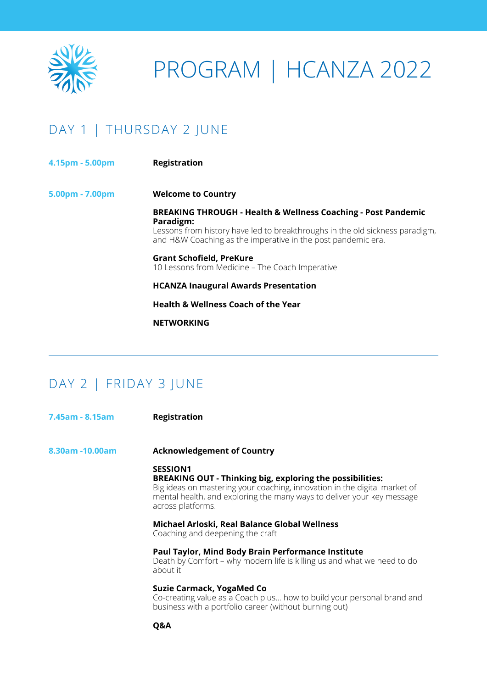

# PROGRAM | HCANZA 2022

## DAY 1 | THURSDAY 2 JUNE

- **4.15pm - 5.00pm Registration**
- **5.00pm - 7.00pm Welcome to Country**

**BREAKING THROUGH - Health & Wellness Coaching - Post Pandemic Paradigm:**

Lessons from history have led to breakthroughs in the old sickness paradigm, and H&W Coaching as the imperative in the post pandemic era.

**Grant Schofield, PreKure** 10 Lessons from Medicine – The Coach Imperative

**HCANZA Inaugural Awards Presentation**

**Health & Wellness Coach of the Year**

**NETWORKING**

#### DAY 2 | FRIDAY 3 JUNE

| 7.45am - 8.15am | <b>Registration</b>                                                                                                                                                                                                                                             |
|-----------------|-----------------------------------------------------------------------------------------------------------------------------------------------------------------------------------------------------------------------------------------------------------------|
| 8.30am -10.00am | <b>Acknowledgement of Country</b>                                                                                                                                                                                                                               |
|                 | <b>SESSION1</b><br><b>BREAKING OUT - Thinking big, exploring the possibilities:</b><br>Big ideas on mastering your coaching, innovation in the digital market of<br>mental health, and exploring the many ways to deliver your key message<br>across platforms. |
|                 | Michael Arloski, Real Balance Global Wellness<br>Coaching and deepening the craft                                                                                                                                                                               |
|                 | <b>Paul Taylor, Mind Body Brain Performance Institute</b><br>Death by Comfort – why modern life is killing us and what we need to do<br>about it                                                                                                                |
|                 | Suzie Carmack, YogaMed Co<br>Co-creating value as a Coach plus how to build your personal brand and<br>business with a portfolio career (without burning out)                                                                                                   |
|                 | Q&A                                                                                                                                                                                                                                                             |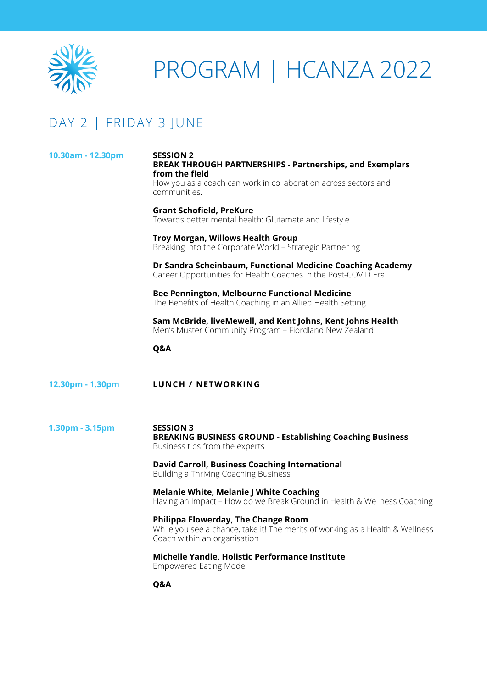

# PROGRAM | HCANZA 2022

### DAY 2 | FRIDAY 3 JUNE

| 10.30am - 12.30pm | <b>SESSION 2</b><br><b>BREAK THROUGH PARTNERSHIPS - Partnerships, and Exemplars</b><br>from the field<br>How you as a coach can work in collaboration across sectors and<br>communities. |
|-------------------|------------------------------------------------------------------------------------------------------------------------------------------------------------------------------------------|
|                   | <b>Grant Schofield, PreKure</b><br>Towards better mental health: Glutamate and lifestyle                                                                                                 |
|                   | <b>Troy Morgan, Willows Health Group</b><br>Breaking into the Corporate World - Strategic Partnering                                                                                     |
|                   | Dr Sandra Scheinbaum, Functional Medicine Coaching Academy<br>Career Opportunities for Health Coaches in the Post-COVID Era                                                              |
|                   | Bee Pennington, Melbourne Functional Medicine<br>The Benefits of Health Coaching in an Allied Health Setting                                                                             |
|                   | Sam McBride, liveMewell, and Kent Johns, Kent Johns Health<br>Men's Muster Community Program - Fiordland New Zealand                                                                     |
|                   | Q&A                                                                                                                                                                                      |
| 12.30pm - 1.30pm  | <b>LUNCH / NETWORKING</b>                                                                                                                                                                |
| 1.30pm - 3.15pm   | <b>SESSION 3</b><br><b>BREAKING BUSINESS GROUND - Establishing Coaching Business</b><br>Business tips from the experts                                                                   |
|                   | <b>David Carroll, Business Coaching International</b><br>Building a Thriving Coaching Business                                                                                           |
|                   | <b>Melanie White, Melanie J White Coaching</b><br>Having an Impact - How do we Break Ground in Health & Wellness Coaching                                                                |
|                   | Philippa Flowerday, The Change Room<br>While you see a chance, take it! The merits of working as a Health & Wellness<br>Coach within an organisation                                     |
|                   | Michelle Yandle, Holistic Performance Institute<br><b>Empowered Eating Model</b>                                                                                                         |
|                   | Q&A                                                                                                                                                                                      |
|                   |                                                                                                                                                                                          |